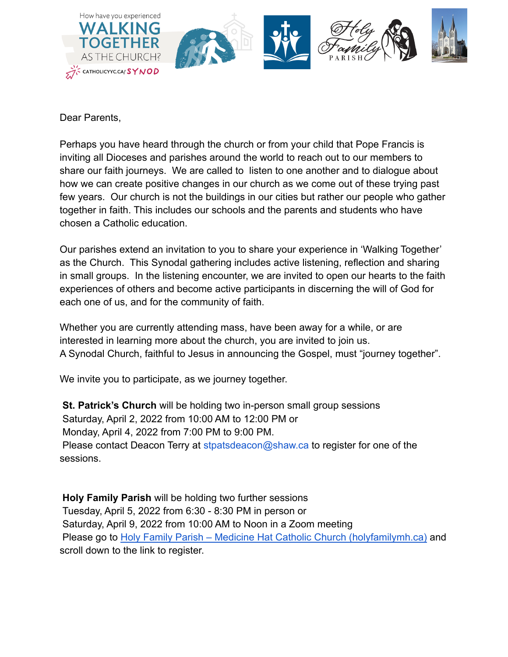

Dear Parents,

Perhaps you have heard through the church or from your child that Pope Francis is inviting all Dioceses and parishes around the world to reach out to our members to share our faith journeys. We are called to listen to one another and to dialogue about how we can create positive changes in our church as we come out of these trying past few years. Our church is not the buildings in our cities but rather our people who gather together in faith. This includes our schools and the parents and students who have chosen a Catholic education.

Our parishes extend an invitation to you to share your experience in 'Walking Together' as the Church. This Synodal gathering includes active listening, reflection and sharing in small groups. In the listening encounter, we are invited to open our hearts to the faith experiences of others and become active participants in discerning the will of God for each one of us, and for the community of faith.

Whether you are currently attending mass, have been away for a while, or are interested in learning more about the church, you are invited to join us. A Synodal Church, faithful to Jesus in announcing the Gospel, must "journey together".

We invite you to participate, as we journey together.

**St. Patrick's Church** will be holding two in-person small group sessions Saturday, April 2, 2022 from 10:00 AM to 12:00 PM or Monday, April 4, 2022 from 7:00 PM to 9:00 PM. Please contact Deacon Terry at stpatsdeacon@shaw.ca to register for one of the sessions.

**Holy Family Parish** will be holding two further sessions Tuesday, April 5, 2022 from 6:30 - 8:30 PM in person or Saturday, April 9, 2022 from 10:00 AM to Noon in a Zoom meeting Please go to [Holy Family Parish – Medicine Hat Catholic](https://holyfamilymh.ca/) Church (holyfamilymh.ca) and scroll down to the link to register.